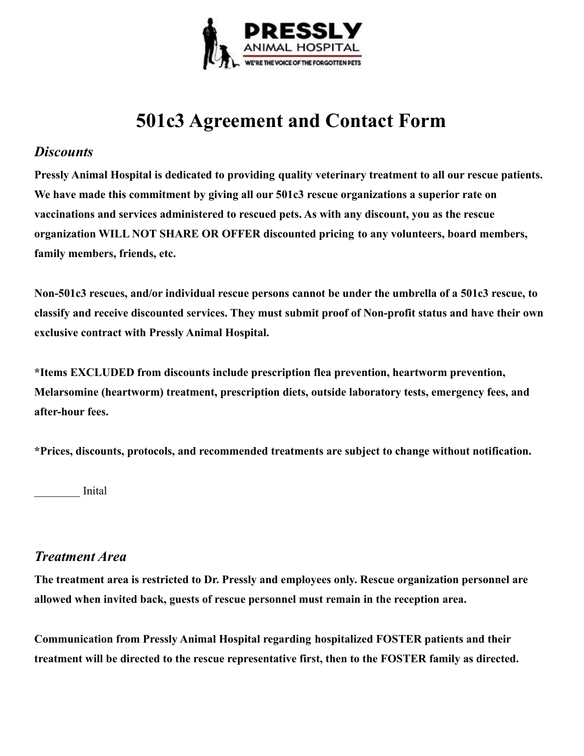

# **501c3 Agreement and Contact Form**

#### *Discounts*

**Pressly Animal Hospital is dedicated to providing quality veterinary treatment to all our rescue patients. We have made this commitment by giving all our 501c3 rescue organizations a superior rate on vaccinations and services administered to rescued pets. As with any discount, you as the rescue organization WILL NOT SHARE OR OFFER discounted pricing to any volunteers, board members, family members, friends, etc.**

**Non-501c3 rescues, and/or individual rescue persons cannot be under the umbrella of a 501c3 rescue, to classify and receive discounted services. They must submit proof of Non-profit status and have their own exclusive contract with Pressly Animal Hospital.**

**\*Items EXCLUDED from discounts include prescription flea prevention, heartworm prevention, Melarsomine (heartworm) treatment, prescription diets, outside laboratory tests, emergency fees, and after-hour fees.**

**\*Prices, discounts, protocols, and recommended treatments are subject to change without notification.**

\_\_\_\_\_\_\_\_ Inital

## *Treatment Area*

**The treatment area is restricted to Dr. Pressly and employees only. Rescue organization personnel are allowed when invited back, guests of rescue personnel must remain in the reception area.**

**Communication from Pressly Animal Hospital regarding hospitalized FOSTER patients and their treatment will be directed to the rescue representative first, then to the FOSTER family as directed.**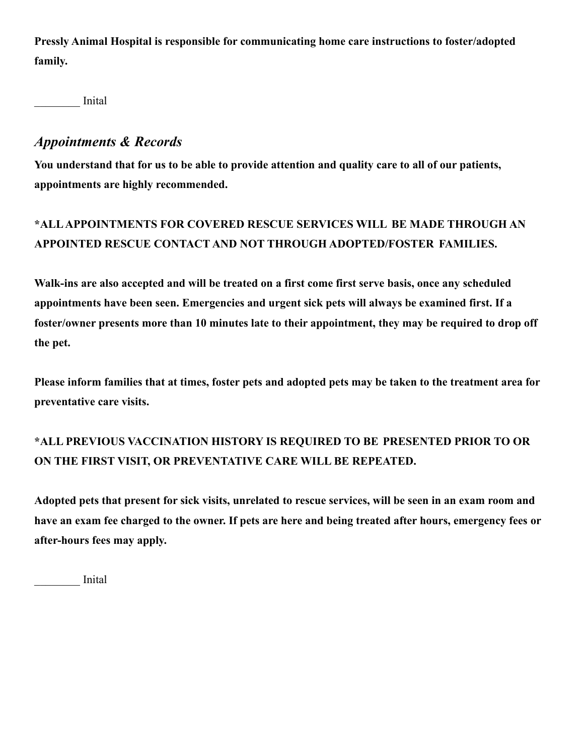**Pressly Animal Hospital is responsible for communicating home care instructions to foster/adopted family.**

\_\_\_\_\_\_\_\_ Inital

## *Appointments & Records*

**You understand that for us to be able to provide attention and quality care to all of our patients, appointments are highly recommended.**

# **\*ALLAPPOINTMENTS FOR COVERED RESCUE SERVICES WILL BE MADE THROUGH AN APPOINTED RESCUE CONTACT AND NOT THROUGH ADOPTED/FOSTER FAMILIES.**

**Walk-ins are also accepted and will be treated on a first come first serve basis, once any scheduled appointments have been seen. Emergencies and urgent sick pets will always be examined first. If a foster/owner presents more than 10 minutes late to their appointment, they may be required to drop off the pet.**

**Please inform families that at times, foster pets and adopted pets may be taken to the treatment area for preventative care visits.**

## **\*ALL PREVIOUS VACCINATION HISTORY IS REQUIRED TO BE PRESENTED PRIOR TO OR ON THE FIRST VISIT, OR PREVENTATIVE CARE WILL BE REPEATED.**

**Adopted pets that present for sick visits, unrelated to rescue services, will be seen in an exam room and have an exam fee charged to the owner. If pets are here and being treated after hours, emergency fees or after-hours fees may apply.**

\_\_\_\_\_\_\_\_ Inital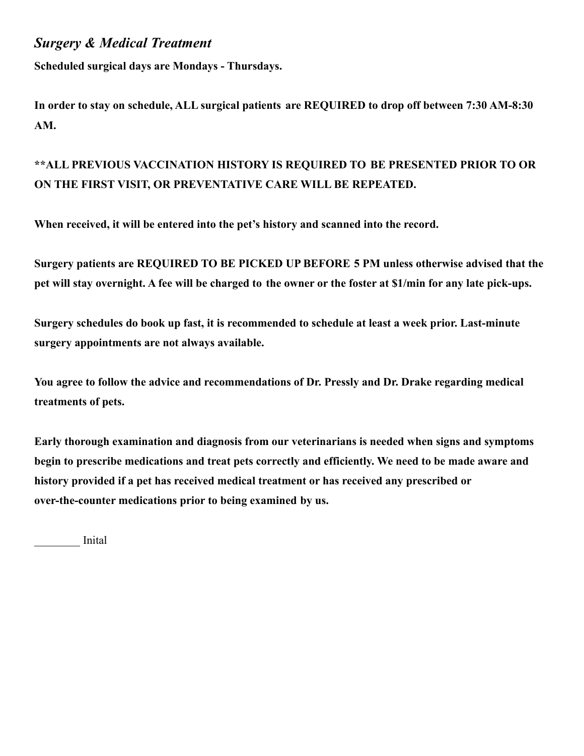## *Surgery & Medical Treatment*

**Scheduled surgical days are Mondays - Thursdays.**

**In order to stay on schedule, ALL surgical patients are REQUIRED to drop off between 7:30 AM-8:30 AM.**

## **\*\*ALL PREVIOUS VACCINATION HISTORY IS REQUIRED TO BE PRESENTED PRIOR TO OR ON THE FIRST VISIT, OR PREVENTATIVE CARE WILL BE REPEATED.**

**When received, it will be entered into the pet's history and scanned into the record.**

**Surgery patients are REQUIRED TO BE PICKED UP BEFORE 5 PM unless otherwise advised that the pet will stay overnight. A fee will be charged to the owner or the foster at \$1/min for any late pick-ups.**

**Surgery schedules do book up fast, it is recommended to schedule at least a week prior. Last-minute surgery appointments are not always available.**

**You agree to follow the advice and recommendations of Dr. Pressly and Dr. Drake regarding medical treatments of pets.**

**Early thorough examination and diagnosis from our veterinarians is needed when signs and symptoms begin to prescribe medications and treat pets correctly and efficiently. We need to be made aware and history provided if a pet has received medical treatment or has received any prescribed or over-the-counter medications prior to being examined by us.**

\_\_\_\_\_\_\_\_ Inital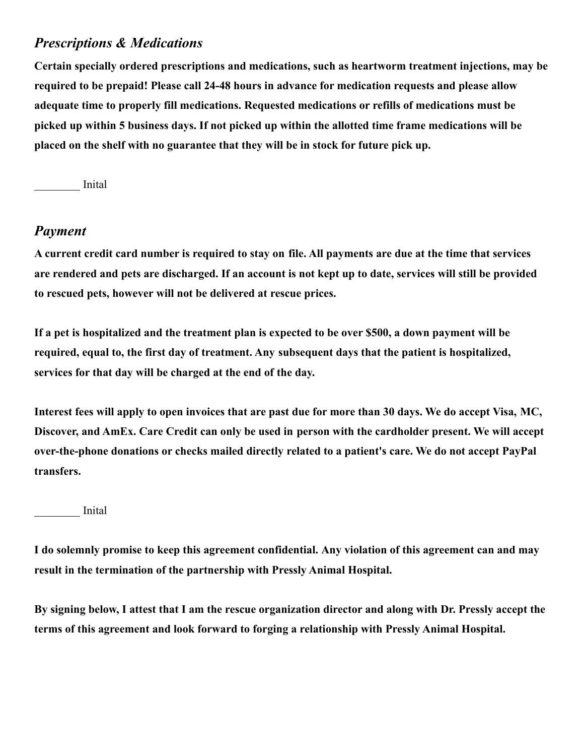## *Prescriptions & Medications*

**Certain specially ordered prescriptions and medications, such as heartworm treatment injections, may be required to be prepaid! Please call 24-48 hours in advance for medication requests and please allow adequate time to properly fill medications. Requested medications or refills of medications must be picked up within 5 business days. If not picked up within the allotted time frame medications will be placed on the shelf with no guarantee that they will be in stock for future pick up.**

\_\_\_\_\_\_\_\_ Inital

#### *Payment*

**A current credit card number is required to stay on file. All payments are due at the time that services are rendered and pets are discharged. If an account is not kept up to date, services will still be provided to rescued pets, however will not be delivered at rescue prices.**

**If a pet is hospitalized and the treatment plan is expected to be over \$500, a down payment will be required, equal to, the first day of treatment. Any subsequent days that the patient is hospitalized, services for that day will be charged at the end of the day.**

**Interest fees will apply to open invoices that are past due for more than 30 days. We do accept Visa, MC, Discover, and AmEx. Care Credit can only be used in person with the cardholder present. We will accept over-the-phone donations or checks mailed directly related to a patient's care. We do not accept PayPal transfers.**

\_\_\_\_\_\_\_\_ Inital

**I do solemnly promise to keep this agreement confidential. Any violation of this agreement can and may result in the termination of the partnership with Pressly Animal Hospital.**

**By signing below, I attest that I am the rescue organization director and along with Dr. Pressly accept the terms of this agreement and look forward to forging a relationship with Pressly Animal Hospital.**